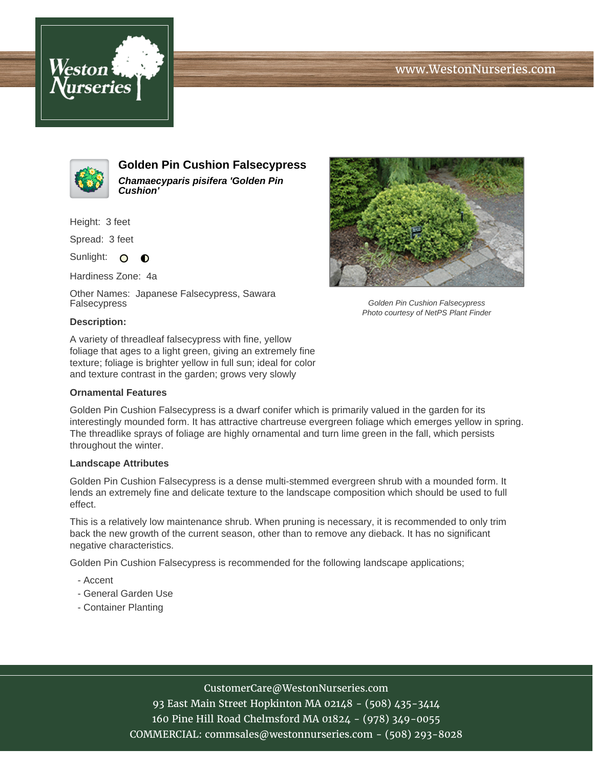# www.WestonNurseries.com





**Golden Pin Cushion Falsecypress Chamaecyparis pisifera 'Golden Pin Cushion'**

Height: 3 feet

Spread: 3 feet

Sunlight: O  $\bullet$ 

Hardiness Zone: 4a

Other Names: Japanese Falsecypress, Sawara Falsecypress



Golden Pin Cushion Falsecypress Photo courtesy of NetPS Plant Finder

### **Description:**

A variety of threadleaf falsecypress with fine, yellow foliage that ages to a light green, giving an extremely fine texture; foliage is brighter yellow in full sun; ideal for color and texture contrast in the garden; grows very slowly

#### **Ornamental Features**

Golden Pin Cushion Falsecypress is a dwarf conifer which is primarily valued in the garden for its interestingly mounded form. It has attractive chartreuse evergreen foliage which emerges yellow in spring. The threadlike sprays of foliage are highly ornamental and turn lime green in the fall, which persists throughout the winter.

### **Landscape Attributes**

Golden Pin Cushion Falsecypress is a dense multi-stemmed evergreen shrub with a mounded form. It lends an extremely fine and delicate texture to the landscape composition which should be used to full effect.

This is a relatively low maintenance shrub. When pruning is necessary, it is recommended to only trim back the new growth of the current season, other than to remove any dieback. It has no significant negative characteristics.

Golden Pin Cushion Falsecypress is recommended for the following landscape applications;

- Accent
- General Garden Use
- Container Planting

### CustomerCare@WestonNurseries.com

93 East Main Street Hopkinton MA 02148 - (508) 435-3414 160 Pine Hill Road Chelmsford MA 01824 - (978) 349-0055 COMMERCIAL: commsales@westonnurseries.com - (508) 293-8028